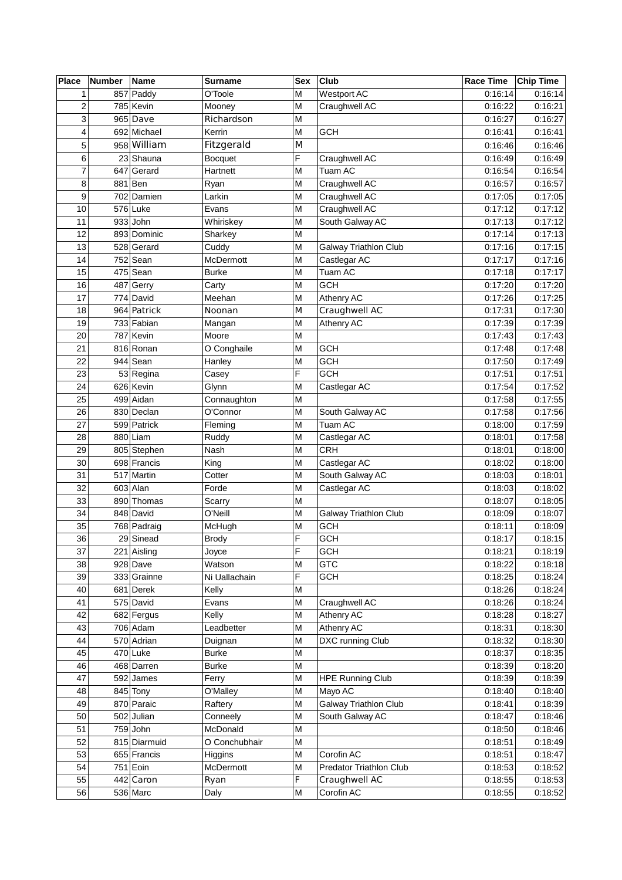| <b>Place</b>   | Number | <b>Name</b>  | <b>Surname</b> | Sex | Club                         | Race Time | Chip Time |
|----------------|--------|--------------|----------------|-----|------------------------------|-----------|-----------|
| $\mathbf{1}$   |        | 857 Paddy    | O'Toole        | M   | Westport AC                  | 0:16:14   | 0:16:14   |
| $\overline{c}$ |        | 785 Kevin    | Mooney         | M   | Craughwell AC                | 0:16:22   | 0:16:21   |
| 3              |        | 965 Dave     | Richardson     | M   |                              | 0:16:27   | 0:16:27   |
| $\overline{4}$ |        | 692 Michael  | Kerrin         | M   | <b>GCH</b>                   | 0:16:41   | 0:16:41   |
| 5              |        | 958 William  | Fitzgerald     | M   |                              | 0:16:46   | 0:16:46   |
| $\,6$          |        | 23 Shauna    | <b>Bocquet</b> | F   | Craughwell AC                | 0:16:49   | 0:16:49   |
| $\overline{7}$ |        | 647 Gerard   | Hartnett       | M   | Tuam AC                      | 0:16:54   | 0:16:54   |
| 8              |        | 881 Ben      | Ryan           | M   | Craughwell AC                | 0:16:57   | 0:16:57   |
| 9              |        | 702 Damien   | Larkin         | M   | Craughwell AC                | 0:17:05   | 0:17:05   |
| 10             |        | 576 Luke     | Evans          | M   | Craughwell AC                | 0:17:12   | 0:17:12   |
| 11             |        | $933$ John   | Whiriskey      | M   | South Galway AC              | 0:17:13   | 0:17:12   |
| 12             |        | 893 Dominic  | Sharkey        | M   |                              | 0:17:14   | 0:17:13   |
| 13             |        | 528 Gerard   | Cuddy          | M   | <b>Galway Triathlon Club</b> | 0:17:16   | 0:17:15   |
| 14             |        | 752 Sean     | McDermott      | M   | Castlegar AC                 | 0:17:17   | 0:17:16   |
| 15             |        | $475$ Sean   | <b>Burke</b>   | M   | Tuam AC                      | 0:17:18   | 0:17:17   |
| 16             |        | 487 Gerry    | Carty          | M   | <b>GCH</b>                   | 0:17:20   | 0:17:20   |
| 17             |        | 774 David    | Meehan         | M   | Athenry AC                   | 0:17:26   | 0:17:25   |
| 18             |        | 964 Patrick  | Noonan         | M   | Craughwell AC                | 0:17:31   | 0:17:30   |
| 19             |        | 733 Fabian   | Mangan         | M   | Athenry AC                   | 0:17:39   | 0:17:39   |
| 20             |        | 787 Kevin    | Moore          | M   |                              | 0:17:43   | 0:17:43   |
| 21             |        | 816 Ronan    | O Conghaile    | M   | <b>GCH</b>                   | 0:17:48   | 0:17:48   |
| 22             |        | $944$ Sean   | Hanley         | M   | <b>GCH</b>                   | 0:17:50   | 0:17:49   |
| 23             |        | 53 Regina    | Casey          | F   | <b>GCH</b>                   | 0:17:51   | 0:17:51   |
| 24             |        | 626 Kevin    | Glynn          | M   | Castlegar AC                 | 0:17:54   | 0:17:52   |
| 25             |        | 499 Aidan    | Connaughton    | M   |                              | 0:17:58   | 0:17:55   |
| 26             |        | 830 Declan   | O'Connor       | M   | South Galway AC              | 0:17:58   | 0:17:56   |
| 27             |        | 599 Patrick  | Fleming        | M   | Tuam AC                      | 0:18:00   | 0:17:59   |
| 28             |        | 880 Liam     | Ruddy          | M   | Castlegar AC                 | 0:18:01   | 0:17:58   |
| 29             |        | 805 Stephen  | Nash           | M   | <b>CRH</b>                   | 0:18:01   | 0:18:00   |
| 30             |        | 698 Francis  | King           | M   | Castlegar AC                 | 0:18:02   | 0:18:00   |
| 31             |        | 517 Martin   | Cotter         | M   | South Galway AC              | 0:18:03   | 0:18:01   |
| 32             |        | 603 Alan     | Forde          | M   | Castlegar AC                 | 0:18:03   | 0:18:02   |
| 33             |        | 890 Thomas   | Scarry         | M   |                              | 0:18:07   | 0:18:05   |
| 34             |        | 848 David    | O'Neill        | M   | <b>Galway Triathlon Club</b> | 0:18:09   | 0:18:07   |
| 35             |        | 768 Padraig  | McHugh         | M   | <b>GCH</b>                   | 0:18:11   | 0:18:09   |
| 36             |        | 29 Sinead    | <b>Brody</b>   | F   | <b>GCH</b>                   | 0:18:17   | 0:18:15   |
| 37             |        | 221 Aisling  | Joyce          | F   | GCH                          | 0:18:21   | 0:18:19   |
| 38             |        | 928 Dave     | Watson         | M   | <b>GTC</b>                   | 0:18:22   | 0:18:18   |
| 39             |        | 333 Grainne  | Ni Uallachain  | F   | <b>GCH</b>                   | 0:18:25   | 0:18:24   |
| 40             |        | 681 Derek    | Kelly          | M   |                              | 0:18:26   | 0:18:24   |
| 41             |        | 575 David    | Evans          | M   | Craughwell AC                | 0:18:26   | 0:18:24   |
| 42             |        | 682 Fergus   | Kelly          | M   | Athenry AC                   | 0:18:28   | 0:18:27   |
| 43             |        | 706 Adam     | Leadbetter     | M   | Athenry AC                   | 0:18:31   | 0:18:30   |
| 44             |        | 570 Adrian   | Duignan        | M   | DXC running Club             | 0:18:32   | 0:18:30   |
| 45             |        | 470 Luke     | <b>Burke</b>   | M   |                              | 0:18:37   | 0:18:35   |
| 46             |        | 468 Darren   | <b>Burke</b>   | M   |                              | 0:18:39   | 0:18:20   |
| 47             |        | 592 James    | Ferry          | M   | <b>HPE Running Club</b>      | 0:18:39   | 0:18:39   |
| 48             |        | 845 Tony     | O'Malley       | M   | Mayo AC                      | 0:18:40   | 0:18:40   |
| 49             |        | 870 Paraic   | Raftery        | M   | Galway Triathlon Club        | 0:18:41   | 0:18:39   |
| 50             |        | 502 Julian   | Conneely       | M   | South Galway AC              | 0:18:47   | 0:18:46   |
| 51             |        | $759$ John   | McDonald       | M   |                              | 0:18:50   | 0:18:46   |
| 52             |        | 815 Diarmuid | O Conchubhair  | M   |                              | 0:18:51   | 0:18:49   |
| 53             |        | 655 Francis  | Higgins        | M   | Corofin AC                   | 0:18:51   | 0:18:47   |
| 54             |        | 751 Eoin     | McDermott      | M   | Predator Triathlon Club      | 0:18:53   | 0:18:52   |
| 55             |        | 442 Caron    | Ryan           | F   | Craughwell AC                | 0:18:55   | 0:18:53   |
| 56             |        | 536 Marc     | Daly           | M   | Corofin AC                   | 0:18:55   | 0:18:52   |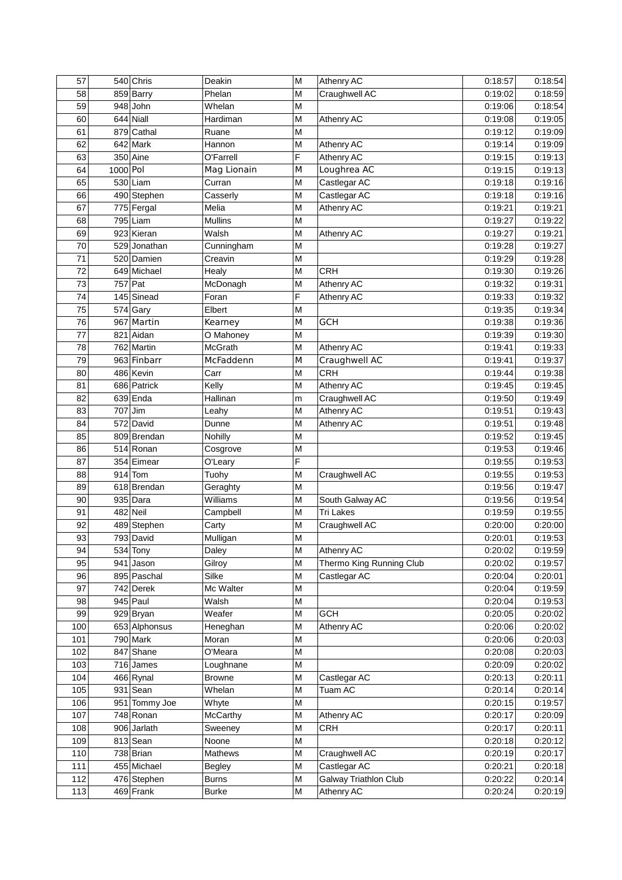| 57  |            | 540 Chris     | Deakin        | M | Athenry AC                   | 0:18:57 | 0:18:54 |
|-----|------------|---------------|---------------|---|------------------------------|---------|---------|
| 58  |            | 859 Barry     | Phelan        | M | Craughwell AC                | 0:19:02 | 0:18:59 |
| 59  |            | $948$ John    | Whelan        | M |                              | 0:19:06 | 0:18:54 |
| 60  |            | 644 Niall     | Hardiman      | M | Athenry AC                   | 0:19:08 | 0:19:05 |
| 61  |            | 879 Cathal    | Ruane         | M |                              | 0:19:12 | 0:19:09 |
| 62  |            | 642 Mark      | Hannon        | M | Athenry AC                   | 0:19:14 | 0:19:09 |
| 63  |            | 350 Aine      | O'Farrell     | F | Athenry AC                   | 0:19:15 | 0:19:13 |
| 64  | $1000$ Pol |               | Mag Lionain   | M | Loughrea AC                  | 0:19:15 | 0:19:13 |
| 65  |            | $530$ Liam    | Curran        | M | Castlegar AC                 | 0:19:18 | 0:19:16 |
| 66  |            | 490 Stephen   | Casserly      | M | Castlegar AC                 | 0:19:18 | 0:19:16 |
| 67  |            | 775 Fergal    | Melia         | M | Athenry AC                   | 0:19:21 | 0:19:21 |
| 68  |            | 795 Liam      | Mullins       | M |                              | 0:19:27 | 0:19:22 |
| 69  |            | 923 Kieran    | Walsh         | M | Athenry AC                   | 0:19:27 | 0:19:21 |
| 70  |            | 529 Jonathan  | Cunningham    | M |                              | 0:19:28 | 0:19:27 |
| 71  |            | 520 Damien    | Creavin       | M |                              | 0:19:29 | 0:19:28 |
| 72  |            | 649 Michael   | Healy         | M | <b>CRH</b>                   | 0:19:30 | 0:19:26 |
| 73  | 757 Pat    |               | McDonagh      | M | Athenry AC                   | 0:19:32 | 0:19:31 |
| 74  |            | 145 Sinead    | Foran         | F | Athenry AC                   | 0:19:33 | 0:19:32 |
| 75  |            | 574 Gary      | Elbert        | M |                              | 0:19:35 | 0:19:34 |
| 76  |            | 967 Martin    | Kearney       | M | <b>GCH</b>                   | 0:19:38 | 0:19:36 |
|     |            | 821 Aidan     |               |   |                              |         |         |
| 77  |            |               | O Mahoney     | M |                              | 0:19:39 | 0:19:30 |
| 78  |            | 762 Martin    | McGrath       | M | Athenry AC                   | 0:19:41 | 0:19:33 |
| 79  |            | 963 Finbarr   | McFaddenn     | M | Craughwell AC                | 0:19:41 | 0:19:37 |
| 80  |            | 486 Kevin     | Carr          | M | <b>CRH</b>                   | 0:19:44 | 0:19:38 |
| 81  |            | 686 Patrick   | Kelly         | M | Athenry AC                   | 0:19:45 | 0:19:45 |
| 82  |            | $639$ Enda    | Hallinan      | m | Craughwell AC                | 0:19:50 | 0:19:49 |
| 83  | 707 Jim    |               | Leahy         | M | Athenry AC                   | 0:19:51 | 0:19:43 |
| 84  |            | 572 David     | Dunne         | M | Athenry AC                   | 0:19:51 | 0:19:48 |
| 85  |            | 809 Brendan   | Nohilly       | M |                              | 0:19:52 | 0:19:45 |
| 86  |            | 514 Ronan     | Cosgrove      | M |                              | 0:19:53 | 0:19:46 |
| 87  |            | 354 Eimear    | O'Leary       | F |                              | 0:19:55 | 0:19:53 |
| 88  |            | $914$ Tom     | Tuohy         | M | Craughwell AC                | 0:19:55 | 0:19:53 |
| 89  |            | 618 Brendan   | Geraghty      | M |                              | 0:19:56 | 0:19:47 |
| 90  |            | $935$ Dara    | Williams      | M | South Galway AC              | 0:19:56 | 0:19:54 |
| 91  |            | 482 Neil      | Campbell      | M | <b>Tri Lakes</b>             | 0:19:59 | 0:19:55 |
| 92  |            | 489 Stephen   | Carty         | M | Craughwell AC                | 0:20:00 | 0:20:00 |
| 93  |            | 793 David     | Mulligan      | M |                              | 0:20:01 | 0:19:53 |
| 94  |            | 534 Tony      | Daley         | M | Athenry AC                   | 0:20:02 | 0:19:59 |
| 95  |            | 941 Jason     | Gilroy        | M | Thermo King Running Club     | 0:20:02 | 0:19:57 |
| 96  |            | 895 Paschal   | Silke         | M | Castlegar AC                 | 0:20:04 | 0:20:01 |
| 97  |            | 742 Derek     | Mc Walter     | M |                              | 0:20:04 | 0:19:59 |
| 98  |            | 945 Paul      | Walsh         | М |                              | 0:20:04 | 0:19:53 |
| 99  |            | 929 Bryan     | Weafer        | M | <b>GCH</b>                   | 0:20:05 | 0:20:02 |
| 100 |            | 653 Alphonsus | Heneghan      | M | Athenry AC                   | 0:20:06 | 0:20:02 |
| 101 |            | 790 Mark      | Moran         | M |                              | 0:20:06 | 0:20:03 |
| 102 |            | 847 Shane     | O'Meara       | M |                              | 0:20:08 | 0:20:03 |
| 103 |            | $716$ James   | Loughnane     | M |                              | 0:20:09 | 0:20:02 |
| 104 |            | 466 Rynal     | <b>Browne</b> | M | Castlegar AC                 | 0:20:13 | 0:20:11 |
| 105 |            | 931 Sean      | Whelan        | M | Tuam AC                      | 0:20:14 | 0:20:14 |
| 106 |            | 951 Tommy Joe | Whyte         | M |                              | 0:20:15 | 0:19:57 |
| 107 |            | $748$ Ronan   | McCarthy      | M | Athenry AC                   | 0:20:17 | 0:20:09 |
| 108 |            | 906 Jarlath   | Sweeney       | M | <b>CRH</b>                   | 0:20:17 | 0:20:11 |
| 109 |            | 813 Sean      | Noone         | M |                              | 0:20:18 | 0:20:12 |
| 110 |            | 738 Brian     | Mathews       | М | Craughwell AC                | 0:20:19 | 0:20:17 |
| 111 |            | 455 Michael   | <b>Begley</b> | M | Castlegar AC                 | 0:20:21 | 0:20:18 |
| 112 |            | 476 Stephen   | <b>Burns</b>  | M | <b>Galway Triathlon Club</b> | 0:20:22 | 0:20:14 |
| 113 |            | 469 Frank     | <b>Burke</b>  | М | Athenry AC                   | 0:20:24 | 0:20:19 |
|     |            |               |               |   |                              |         |         |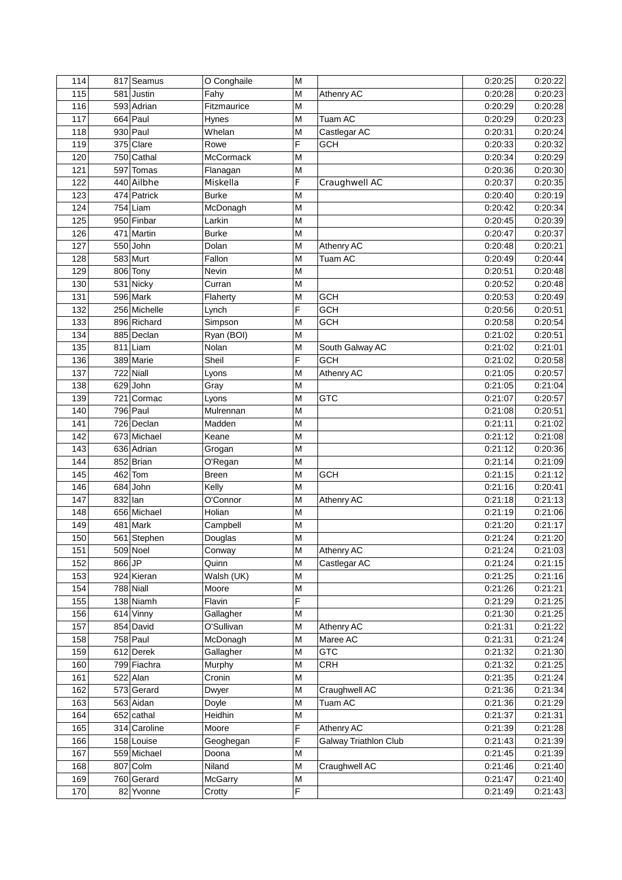| 114 |         | 817 Seamus            | O Conghaile      | M |                              | 0:20:25 | 0:20:22 |
|-----|---------|-----------------------|------------------|---|------------------------------|---------|---------|
| 115 |         | 581 Justin            | Fahy             | M | Athenry AC                   | 0:20:28 | 0:20:23 |
| 116 |         | 593 Adrian            | Fitzmaurice      | M |                              | 0:20:29 | 0:20:28 |
| 117 |         | $664$ Paul            | Hynes            | M | Tuam AC                      | 0:20:29 | 0:20:23 |
| 118 |         | 930 Paul              | Whelan           | M | Castlegar AC                 | 0:20:31 | 0:20:24 |
| 119 |         | 375 Clare             | Rowe             | F | <b>GCH</b>                   | 0:20:33 | 0:20:32 |
| 120 |         | 750 Cathal            | McCormack        | M |                              | 0:20:34 | 0:20:29 |
| 121 |         | 597 Tomas             | Flanagan         | M |                              | 0:20:36 | 0:20:30 |
| 122 |         | 440 Ailbhe            | Miskella         | F | Craughwell AC                | 0:20:37 | 0:20:35 |
| 123 |         | 474 Patrick           | <b>Burke</b>     | M |                              | 0:20:40 | 0:20:19 |
| 124 |         | $754$ Liam            | McDonagh         | M |                              | 0:20:42 | 0:20:34 |
| 125 |         | 950 Finbar            | Larkin           | M |                              | 0:20:45 | 0:20:39 |
| 126 |         | 471 Martin            | <b>Burke</b>     | M |                              | 0:20:47 | 0:20:37 |
| 127 |         | 550 John              | Dolan            | M | Athenry AC                   | 0:20:48 | 0:20:21 |
| 128 |         | 583 Murt              | Fallon           | M | Tuam AC                      | 0:20:49 | 0:20:44 |
| 129 |         | 806 Tony              | Nevin            | M |                              | 0:20:51 | 0:20:48 |
| 130 |         | 531 Nicky             | Curran           | M |                              | 0:20:52 | 0:20:48 |
| 131 |         | 596 Mark              | Flaherty         | M | <b>GCH</b>                   | 0:20:53 | 0:20:49 |
| 132 |         | 256 Michelle          |                  | F | <b>GCH</b>                   | 0:20:56 | 0:20:51 |
| 133 |         | 896 Richard           | Lynch<br>Simpson | M | <b>GCH</b>                   | 0:20:58 | 0:20:54 |
| 134 |         | 885 Declan            |                  |   |                              |         |         |
| 135 |         |                       | Ryan (BOI)       | M |                              | 0:21:02 | 0:20:51 |
|     |         | 811 Liam<br>389 Marie | Nolan            | M | South Galway AC              | 0:21:02 | 0:21:01 |
| 136 |         |                       | Sheil            | F | <b>GCH</b>                   | 0:21:02 | 0:20:58 |
| 137 |         | 722 Niall             | Lyons            | M | Athenry AC                   | 0:21:05 | 0:20:57 |
| 138 |         | 629 John              | Gray             | M |                              | 0:21:05 | 0:21:04 |
| 139 |         | 721 Cormac            | Lyons            | M | <b>GTC</b>                   | 0:21:07 | 0:20:57 |
| 140 |         | 796 Paul              | Mulrennan        | M |                              | 0:21:08 | 0:20:51 |
| 141 |         | 726 Declan            | Madden           | M |                              | 0:21:11 | 0:21:02 |
| 142 |         | 673 Michael           | Keane            | M |                              | 0:21:12 | 0:21:08 |
| 143 |         | 636 Adrian            | Grogan           | M |                              | 0:21:12 | 0:20:36 |
| 144 |         | 852 Brian             | O'Regan          | M |                              | 0:21:14 | 0:21:09 |
| 145 |         | 462 Tom               | <b>Breen</b>     | M | <b>GCH</b>                   | 0:21:15 | 0:21:12 |
| 146 | 684     | John                  | Kelly            | M |                              | 0:21:16 | 0:20:41 |
| 147 | 832 Ian |                       | O'Connor         | M | Athenry AC                   | 0:21:18 | 0:21:13 |
| 148 |         | 656 Michael           | Holian           | M |                              | 0:21:19 | 0:21:06 |
| 149 |         | 481 Mark              | Campbell         | M |                              | 0:21:20 | 0:21:17 |
| 150 |         | 561 Stephen           | Douglas          | M |                              | 0:21:24 | 0:21:20 |
| 151 |         | 509 Noel              | Conway           | M | Athenry AC                   | 0:21:24 | 0:21:03 |
| 152 | 866 JP  |                       | Quinn            | M | Castlegar AC                 | 0:21:24 | 0:21:15 |
| 153 |         | 924 Kieran            | Walsh (UK)       | M |                              | 0:21:25 | 0:21:16 |
| 154 |         | 788 Niall             | Moore            | M |                              | 0:21:26 | 0:21:21 |
| 155 |         | 138 Niamh             | Flavin           | F |                              | 0:21:29 | 0:21:25 |
| 156 |         | 614 Vinny             | Gallagher        | M |                              | 0:21:30 | 0:21:25 |
| 157 |         | 854 David             | O'Sullivan       | M | Athenry AC                   | 0:21:31 | 0:21:22 |
| 158 |         | $758$ Paul            | McDonagh         | M | Maree AC                     | 0:21:31 | 0:21:24 |
| 159 |         | 612 Derek             | Gallagher        | M | <b>GTC</b>                   | 0:21:32 | 0:21:30 |
| 160 |         | 799 Fiachra           | Murphy           | M | <b>CRH</b>                   | 0:21:32 | 0:21:25 |
| 161 |         | 522 Alan              | Cronin           | M |                              | 0:21:35 | 0:21:24 |
| 162 |         | 573 Gerard            | Dwyer            | M | Craughwell AC                | 0:21:36 | 0:21:34 |
| 163 |         | 563 Aidan             | Doyle            | M | Tuam AC                      | 0:21:36 | 0:21:29 |
| 164 |         | $652$ cathal          | Heidhin          | M |                              | 0:21:37 | 0:21:31 |
| 165 |         | 314 Caroline          | Moore            | F | Athenry AC                   | 0:21:39 | 0:21:28 |
| 166 |         | 158 Louise            | Geoghegan        | F | <b>Galway Triathlon Club</b> | 0:21:43 | 0:21:39 |
| 167 |         | 559 Michael           | Doona            | M |                              | 0:21:45 | 0:21:39 |
| 168 |         | 807 Colm              | Niland           | M | Craughwell AC                | 0:21:46 | 0:21:40 |
| 169 |         | 760 Gerard            | McGarry          | M |                              | 0:21:47 | 0:21:40 |
| 170 |         | 82 Yvonne             | Crotty           | F |                              | 0:21:49 | 0:21:43 |
|     |         |                       |                  |   |                              |         |         |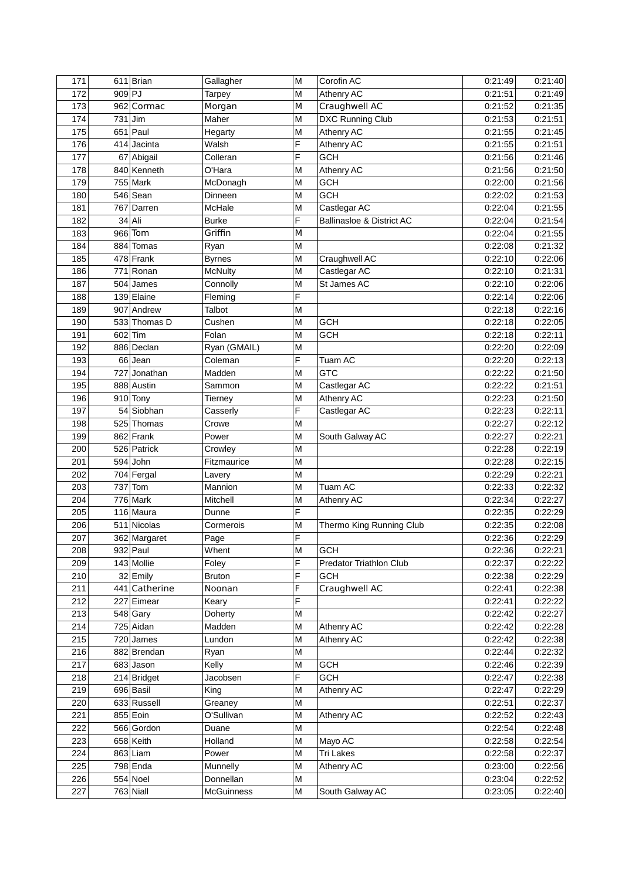| 171 |           | $611$ Brian   | Gallagher      | M              | Corofin AC                     | 0:21:49 | 0:21:40 |
|-----|-----------|---------------|----------------|----------------|--------------------------------|---------|---------|
| 172 | 909 PJ    |               | <b>Tarpey</b>  | M              | Athenry AC                     | 0:21:51 | 0:21:49 |
| 173 |           | 962 Cormac    | Morgan         | M              | Craughwell AC                  | 0:21:52 | 0:21:35 |
| 174 | $731$ Jim |               | Maher          | M              | <b>DXC Running Club</b>        | 0:21:53 | 0:21:51 |
| 175 |           | 651 Paul      | Hegarty        | M              | Athenry AC                     | 0:21:55 | 0:21:45 |
| 176 |           | 414 Jacinta   | Walsh          | F              | Athenry AC                     | 0:21:55 | 0:21:51 |
| 177 |           | 67 Abigail    | Colleran       | F              | <b>GCH</b>                     | 0:21:56 | 0:21:46 |
| 178 |           | 840 Kenneth   | O'Hara         | M              | Athenry AC                     | 0:21:56 | 0:21:50 |
| 179 |           | $755$ Mark    | McDonagh       | M              | <b>GCH</b>                     | 0:22:00 | 0:21:56 |
| 180 |           | 546 Sean      | Dinneen        | M              | <b>GCH</b>                     | 0:22:02 | 0:21:53 |
| 181 |           | 767 Darren    | McHale         | M              | Castlegar AC                   | 0:22:04 | 0:21:55 |
| 182 |           | 34 Ali        | <b>Burke</b>   | $\overline{F}$ | Ballinasloe & District AC      | 0:22:04 | 0:21:54 |
| 183 |           | 966 Tom       | Griffin        | M              |                                | 0:22:04 | 0:21:55 |
| 184 |           | 884 Tomas     | Ryan           | M              |                                | 0:22:08 | 0:21:32 |
| 185 |           | 478 Frank     | <b>Byrnes</b>  | M              | Craughwell AC                  | 0:22:10 | 0:22:06 |
| 186 |           | 771 Ronan     | <b>McNulty</b> | M              | Castlegar AC                   | 0:22:10 | 0:21:31 |
| 187 |           | 504 James     | Connolly       | M              | St James AC                    | 0:22:10 | 0:22:06 |
| 188 |           | 139 Elaine    | Fleming        | F              |                                | 0:22:14 | 0:22:06 |
| 189 |           | 907 Andrew    | Talbot         | M              |                                | 0:22:18 | 0:22:16 |
| 190 |           | 533 Thomas D  | Cushen         | M              | <b>GCH</b>                     | 0:22:18 | 0:22:05 |
|     |           |               |                |                |                                |         |         |
| 191 |           | 602 Tim       | Folan          | M              | <b>GCH</b>                     | 0:22:18 | 0:22:11 |
| 192 |           | 886 Declan    | Ryan (GMAIL)   | M              |                                | 0:22:20 | 0:22:09 |
| 193 |           | $66$ Jean     | Coleman        | F              | Tuam AC                        | 0:22:20 | 0:22:13 |
| 194 |           | 727 Jonathan  | Madden         | M              | <b>GTC</b>                     | 0:22:22 | 0:21:50 |
| 195 |           | 888 Austin    | Sammon         | M              | Castlegar AC                   | 0:22:22 | 0:21:51 |
| 196 |           | $910$ Tony    | Tierney        | M              | Athenry AC                     | 0:22:23 | 0:21:50 |
| 197 |           | 54 Siobhan    | Casserly       | F              | Castlegar AC                   | 0:22:23 | 0:22:11 |
| 198 |           | 525 Thomas    | Crowe          | M              |                                | 0:22:27 | 0:22:12 |
| 199 |           | 862 Frank     | Power          | M              | South Galway AC                | 0:22:27 | 0:22:21 |
| 200 |           | 526 Patrick   | Crowley        | M              |                                | 0:22:28 | 0:22:19 |
| 201 |           | $594$ John    | Fitzmaurice    | M              |                                | 0:22:28 | 0:22:15 |
| 202 |           | 704 Fergal    | Lavery         | M              |                                | 0:22:29 | 0:22:21 |
| 203 |           | $737$ Tom     | Mannion        | M              | Tuam AC                        | 0:22:33 | 0:22:32 |
| 204 |           | 776 Mark      | Mitchell       | M              | Athenry AC                     | 0:22:34 | 0:22:27 |
| 205 |           | 116 Maura     | Dunne          | F              |                                | 0:22:35 | 0:22:29 |
| 206 |           | 511 Nicolas   | Cormerois      | M              | Thermo King Running Club       | 0:22:35 | 0:22:08 |
| 207 |           | 362 Margaret  | Page           | F              |                                | 0:22:36 | 0:22:29 |
| 208 |           | 932 Paul      | Whent          | M              | <b>GCH</b>                     | 0:22:36 | 0:22:21 |
| 209 |           | 143 Mollie    | Foley          | F              | <b>Predator Triathlon Club</b> | 0:22:37 | 0:22:22 |
| 210 |           | 32 Emily      | <b>Bruton</b>  | F              | <b>GCH</b>                     | 0:22:38 | 0:22:29 |
| 211 |           | 441 Catherine | Noonan         | F              | Craughwell AC                  | 0:22:41 | 0:22:38 |
| 212 |           | 227 Eimear    | Keary          | F              |                                | 0:22:41 | 0:22:22 |
| 213 |           | 548 Gary      | Doherty        | M              |                                | 0:22:42 | 0:22:27 |
| 214 |           | 725 Aidan     | Madden         | M              | Athenry AC                     | 0:22:42 | 0:22:28 |
| 215 |           | 720 James     | Lundon         | M              | Athenry AC                     | 0:22:42 | 0:22:38 |
| 216 |           | 882 Brendan   | Ryan           | M              |                                | 0:22:44 | 0:22:32 |
| 217 |           | 683 Jason     | Kelly          | M              | <b>GCH</b>                     | 0:22:46 | 0:22:39 |
| 218 |           | 214 Bridget   | Jacobsen       | F              | <b>GCH</b>                     | 0:22:47 | 0:22:38 |
| 219 |           | 696 Basil     | King           | M              | Athenry AC                     | 0:22:47 | 0:22:29 |
| 220 |           | 633 Russell   | Greaney        | M              |                                | 0:22:51 | 0:22:37 |
| 221 |           | 855 Eoin      | O'Sullivan     | M              | Athenry AC                     | 0:22:52 | 0:22:43 |
| 222 |           | 566 Gordon    | Duane          | M              |                                | 0:22:54 | 0:22:48 |
| 223 |           | 658 Keith     | Holland        | M              | Mayo AC                        | 0:22:58 | 0:22:54 |
| 224 |           | $863$ Liam    | Power          | M              | <b>Tri Lakes</b>               | 0:22:58 | 0:22:37 |
| 225 |           | 798 Enda      | Munnelly       | M              | Athenry AC                     | 0:23:00 | 0:22:56 |
| 226 |           | 554 Noel      | Donnellan      | M              |                                | 0:23:04 | 0:22:52 |
| 227 |           | 763 Niall     | McGuinness     | M              | South Galway AC                | 0:23:05 | 0:22:40 |
|     |           |               |                |                |                                |         |         |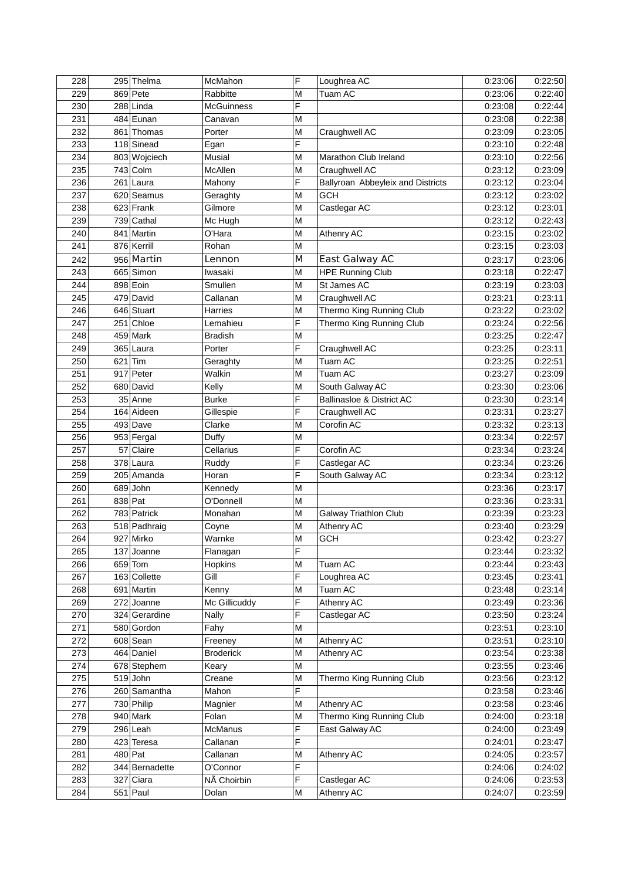| 228 |           | 295 Thelma            | McMahon            | F      | Loughrea AC                       | 0:23:06 | 0:22:50 |
|-----|-----------|-----------------------|--------------------|--------|-----------------------------------|---------|---------|
| 229 |           | 869 Pete              | Rabbitte           | M      | Tuam AC                           | 0:23:06 | 0:22:40 |
| 230 |           | 288 Linda             | <b>McGuinness</b>  | F      |                                   | 0:23:08 | 0:22:44 |
| 231 |           | 484 Eunan             | Canavan            | M      |                                   | 0:23:08 | 0:22:38 |
| 232 |           | 861 Thomas            | Porter             | M      | Craughwell AC                     | 0:23:09 | 0:23:05 |
| 233 |           | 118 Sinead            | Egan               | F      |                                   | 0:23:10 | 0:22:48 |
| 234 |           | 803 Wojciech          | Musial             | M      | Marathon Club Ireland             | 0:23:10 | 0:22:56 |
| 235 |           | $\overline{74}3$ Colm | McAllen            | M      | Craughwell AC                     | 0:23:12 | 0:23:09 |
| 236 |           | 261 Laura             | Mahony             | F      | Ballyroan Abbeyleix and Districts | 0:23:12 | 0:23:04 |
| 237 |           | 620 Seamus            | Geraghty           | M      | GCH                               | 0:23:12 | 0:23:02 |
| 238 |           | 623 Frank             | Gilmore            | M      | Castlegar AC                      | 0:23:12 | 0:23:01 |
| 239 |           | 739 Cathal            | Mc Hugh            | M      |                                   | 0:23:12 | 0:22:43 |
| 240 |           | 841 Martin            | O'Hara             | M      | Athenry AC                        | 0:23:15 | 0:23:02 |
| 241 |           | 876 Kerrill           | Rohan              | M      |                                   | 0:23:15 | 0:23:03 |
| 242 |           | 956 Martin            | Lennon             | M      | East Galway AC                    | 0:23:17 | 0:23:06 |
| 243 |           | 665 Simon             | Iwasaki            | M      | <b>HPE Running Club</b>           | 0:23:18 | 0:22:47 |
| 244 |           | 898 Eoin              | Smullen            | M      | St James AC                       | 0:23:19 | 0:23:03 |
| 245 |           | 479 David             | Callanan           | M      | Craughwell AC                     | 0:23:21 | 0:23:11 |
| 246 |           | 646 Stuart            | <b>Harries</b>     | M      | Thermo King Running Club          | 0:23:22 | 0:23:02 |
| 247 |           | 251 Chloe             | Lemahieu           | F      | Thermo King Running Club          | 0:23:24 | 0:22:56 |
| 248 |           | 459 Mark              | <b>Bradish</b>     | M      |                                   | 0:23:25 | 0:22:47 |
| 249 |           | 365 Laura             | Porter             | F      | Craughwell AC                     | 0:23:25 | 0:23:11 |
| 250 | $621$ Tim |                       |                    | M      | Tuam AC                           |         | 0:22:51 |
| 251 |           | 917 Peter             | Geraghty<br>Walkin | M      | Tuam AC                           | 0:23:25 | 0:23:09 |
|     |           |                       |                    |        |                                   | 0:23:27 |         |
| 252 |           | 680 David             | Kelly              | M<br>F | South Galway AC                   | 0:23:30 | 0:23:06 |
| 253 |           | 35 Anne               | <b>Burke</b>       |        | Ballinasloe & District AC         | 0:23:30 | 0:23:14 |
| 254 |           | 164 Aideen            | Gillespie          | F      | Craughwell AC                     | 0:23:31 | 0:23:27 |
| 255 |           | 493 Dave              | Clarke             | M      | Corofin AC                        | 0:23:32 | 0:23:13 |
| 256 |           | 953 Fergal            | Duffy              | M      |                                   | 0:23:34 | 0:22:57 |
| 257 |           | 57 Claire             | Cellarius          | F      | Corofin AC                        | 0:23:34 | 0:23:24 |
| 258 |           | 378 Laura             | Ruddy              | F      | Castlegar AC                      | 0:23:34 | 0:23:26 |
| 259 |           | 205 Amanda            | Horan              | F      | South Galway AC                   | 0:23:34 | 0:23:12 |
| 260 |           | 689 John              | Kennedy            | M      |                                   | 0:23:36 | 0:23:17 |
| 261 | 838 Pat   |                       | O'Donnell          | M      |                                   | 0:23:36 | 0:23:31 |
| 262 |           | 783 Patrick           | Monahan            | M      | <b>Galway Triathlon Club</b>      | 0:23:39 | 0:23:23 |
| 263 |           | 518 Padhraig          | Coyne              | M      | Athenry AC                        | 0:23:40 | 0:23:29 |
| 264 |           | 927 Mirko             | Warnke             | M      | <b>GCH</b>                        | 0:23:42 | 0:23:27 |
| 265 |           | 137 Joanne            | Flanagan           | F      |                                   | 0:23:44 | 0:23:32 |
| 266 |           | $659$ Tom             | Hopkins            | M      | Tuam AC                           | 0:23:44 | 0:23:43 |
| 267 |           | 163 Collette          | Gill               | F      | Loughrea AC                       | 0:23:45 | 0:23:41 |
| 268 |           | 691 Martin            | Kenny              | M      | Tuam AC                           | 0:23:48 | 0:23:14 |
| 269 |           | 272 Joanne            | Mc Gillicuddy      | F      | Athenry AC                        | 0:23:49 | 0:23:36 |
| 270 |           | 324 Gerardine         | <b>Nally</b>       | F      | Castlegar AC                      | 0:23:50 | 0:23:24 |
| 271 |           | 580 Gordon            | Fahy               | M      |                                   | 0:23:51 | 0:23:10 |
| 272 |           | 608 Sean              | Freeney            | M      | Athenry AC                        | 0:23:51 | 0:23:10 |
| 273 |           | 464 Daniel            | <b>Broderick</b>   | M      | Athenry AC                        | 0:23:54 | 0:23:38 |
| 274 |           | 678 Stephem           | Keary              | M      |                                   | 0:23:55 | 0:23:46 |
| 275 |           | $519$ John            | Creane             | M      | Thermo King Running Club          | 0:23:56 | 0:23:12 |
| 276 |           | 260 Samantha          | Mahon              | F      |                                   | 0:23:58 | 0:23:46 |
| 277 |           | 730 Philip            | Magnier            | M      | Athenry AC                        | 0:23:58 | 0:23:46 |
| 278 |           | 940 Mark              | Folan              | M      | Thermo King Running Club          | 0:24:00 | 0:23:18 |
| 279 |           | $296$ Leah            | McManus            | F      | East Galway AC                    | 0:24:00 | 0:23:49 |
| 280 |           | 423 Teresa            | Callanan           | F      |                                   | 0:24:01 | 0:23:47 |
| 281 | 480 Pat   |                       | Callanan           | M      | Athenry AC                        | 0:24:05 | 0:23:57 |
| 282 |           | 344 Bernadette        | O'Connor           | F      |                                   | 0:24:06 | 0:24:02 |
| 283 |           | 327 Ciara             | NÃ Choirbin        | F      | Castlegar AC                      | 0:24:06 | 0:23:53 |
| 284 |           | $551$ Paul            | Dolan              | M      | Athenry AC                        | 0:24:07 | 0:23:59 |
|     |           |                       |                    |        |                                   |         |         |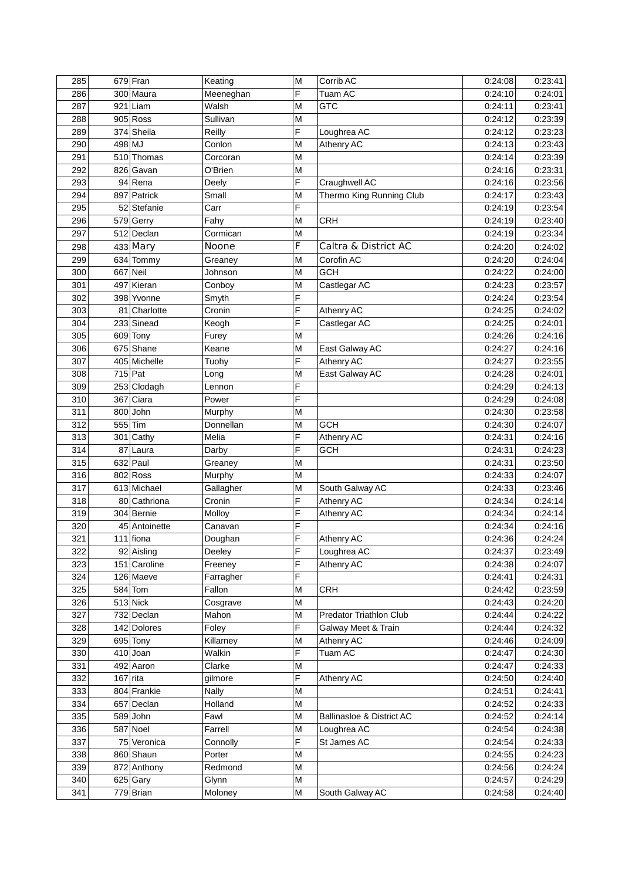| 285 |            | 679 Fran                  | Keating   | M      | Corrib AC                 | 0:24:08 | 0:23:41 |
|-----|------------|---------------------------|-----------|--------|---------------------------|---------|---------|
| 286 |            | 300 Maura                 | Meeneghan | F      | Tuam AC                   | 0:24:10 | 0:24:01 |
| 287 |            | $921$ Liam                | Walsh     | M      | <b>GTC</b>                | 0:24:11 | 0:23:41 |
| 288 |            | $905$ Ross                | Sullivan  | M      |                           | 0:24:12 | 0:23:39 |
| 289 |            | 374 Sheila                | Reilly    | F      | Loughrea AC               | 0:24:12 | 0:23:23 |
| 290 | 498 MJ     |                           | Conlon    | M      | Athenry AC                | 0:24:13 | 0:23:43 |
| 291 |            | 510 Thomas                | Corcoran  | M      |                           | 0:24:14 | 0:23:39 |
| 292 |            | 826 Gavan                 | O'Brien   | M      |                           | 0:24:16 | 0:23:31 |
| 293 |            | 94 Rena                   | Deely     | F      | Craughwell AC             | 0:24:16 | 0:23:56 |
| 294 |            | 897 Patrick               | Small     | M      | Thermo King Running Club  | 0:24:17 | 0:23:43 |
| 295 |            | 52 Stefanie               | Carr      | F      |                           | 0:24:19 | 0:23:54 |
| 296 |            | 579 Gerry                 | Fahy      | M      | <b>CRH</b>                | 0:24:19 | 0:23:40 |
| 297 |            | 512 Declan                | Cormican  | M      |                           | 0:24:19 | 0:23:34 |
| 298 |            | 433 Mary                  | Noone     | F      | Caltra & District AC      | 0:24:20 | 0:24:02 |
| 299 |            | 634 Tommy                 | Greaney   | M      | Corofin AC                | 0:24:20 | 0:24:04 |
| 300 |            | 667 Neil                  | Johnson   | M      | <b>GCH</b>                | 0:24:22 | 0:24:00 |
| 301 |            | 497 Kieran                | Conboy    | M      | Castlegar AC              | 0:24:23 | 0:23:57 |
| 302 |            | 398 Yvonne                | Smyth     | F      |                           | 0:24:24 | 0:23:54 |
| 303 |            | 81 Charlotte              | Cronin    | F      | Athenry AC                | 0:24:25 | 0:24:02 |
| 304 |            | 233 Sinead                | Keogh     | F      | Castlegar AC              | 0:24:25 | 0:24:01 |
| 305 |            | 609 Tony                  |           | M      |                           | 0:24:26 | 0:24:16 |
|     |            |                           | Furey     |        |                           |         |         |
| 306 |            | 675 Shane<br>405 Michelle | Keane     | M<br>F | East Galway AC            | 0:24:27 | 0:24:16 |
| 307 |            |                           | Tuohy     |        | Athenry AC                | 0:24:27 | 0:23:55 |
| 308 | 715 Pat    |                           | Long      | M      | East Galway AC            | 0:24:28 | 0:24:01 |
| 309 |            | 253 Clodagh               | Lennon    | F      |                           | 0:24:29 | 0:24:13 |
| 310 |            | 367 Ciara                 | Power     | F      |                           | 0:24:29 | 0:24:08 |
| 311 |            | 800 John                  | Murphy    | M      |                           | 0:24:30 | 0:23:58 |
| 312 | 555 Tim    |                           | Donnellan | M      | <b>GCH</b>                | 0:24:30 | 0:24:07 |
| 313 |            | 301 Cathy                 | Melia     | F      | Athenry AC                | 0:24:31 | 0:24:16 |
| 314 |            | 87 Laura                  | Darby     | F      | <b>GCH</b>                | 0:24:31 | 0:24:23 |
| 315 |            | 632 Paul                  | Greaney   | M      |                           | 0:24:31 | 0:23:50 |
| 316 |            | 802 Ross                  | Murphy    | M      |                           | 0:24:33 | 0:24:07 |
| 317 |            | 613 Michael               | Gallagher | M      | South Galway AC           | 0:24:33 | 0:23:46 |
| 318 |            | 80 Cathriona              | Cronin    | F      | Athenry AC                | 0:24:34 | 0:24:14 |
| 319 |            | 304 Bernie                | Molloy    | F      | Athenry AC                | 0:24:34 | 0:24:14 |
| 320 |            | 45 Antoinette             | Canavan   | F      |                           | 0:24:34 | 0:24:16 |
| 321 |            | $111$ fiona               | Doughan   | F      | Athenry AC                | 0:24:36 | 0:24:24 |
| 322 |            | 92 Aisling                | Deeley    | F      | Loughrea AC               | 0:24:37 | 0:23:49 |
| 323 |            | 151 Caroline              | Freeney   | F      | Athenry AC                | 0:24:38 | 0:24:07 |
| 324 |            | 126 Maeve                 | Farragher | F      |                           | 0:24:41 | 0:24:31 |
| 325 |            | 584 Tom                   | Fallon    | M      | <b>CRH</b>                | 0:24:42 | 0:23:59 |
| 326 |            | 513 Nick                  | Cosgrave  | M      |                           | 0:24:43 | 0:24:20 |
| 327 |            | 732 Declan                | Mahon     | M      | Predator Triathlon Club   | 0:24:44 | 0:24:22 |
| 328 |            | 142 Dolores               | Foley     | F      | Galway Meet & Train       | 0:24:44 | 0:24:32 |
| 329 |            | 695 Tony                  | Killarney | M      | Athenry AC                | 0:24:46 | 0:24:09 |
| 330 |            | $410$ Joan                | Walkin    | F      | Tuam AC                   | 0:24:47 | 0:24:30 |
| 331 |            | 492 Aaron                 | Clarke    | M      |                           | 0:24:47 | 0:24:33 |
| 332 | $167$ rita |                           | gilmore   | F      | Athenry AC                | 0:24:50 | 0:24:40 |
| 333 |            | 804 Frankie               | Nally     | M      |                           | 0:24:51 | 0:24:41 |
| 334 |            | 657 Declan                | Holland   | M      |                           | 0:24:52 | 0:24:33 |
| 335 |            | $589$ John                | Fawl      | M      | Ballinasloe & District AC | 0:24:52 | 0:24:14 |
| 336 |            | 587 Noel                  | Farrell   | M      | Loughrea AC               | 0:24:54 | 0:24:38 |
| 337 |            | 75 Veronica               | Connolly  | F      | St James AC               | 0:24:54 | 0:24:33 |
| 338 |            | 860 Shaun                 | Porter    | M      |                           | 0:24:55 | 0:24:23 |
| 339 |            | 872 Anthony               | Redmond   | M      |                           | 0:24:56 | 0:24:24 |
| 340 |            | $625$ Gary                | Glynn     | M      |                           | 0:24:57 | 0:24:29 |
| 341 |            | 779 Brian                 | Moloney   | M      | South Galway AC           | 0:24:58 | 0:24:40 |
|     |            |                           |           |        |                           |         |         |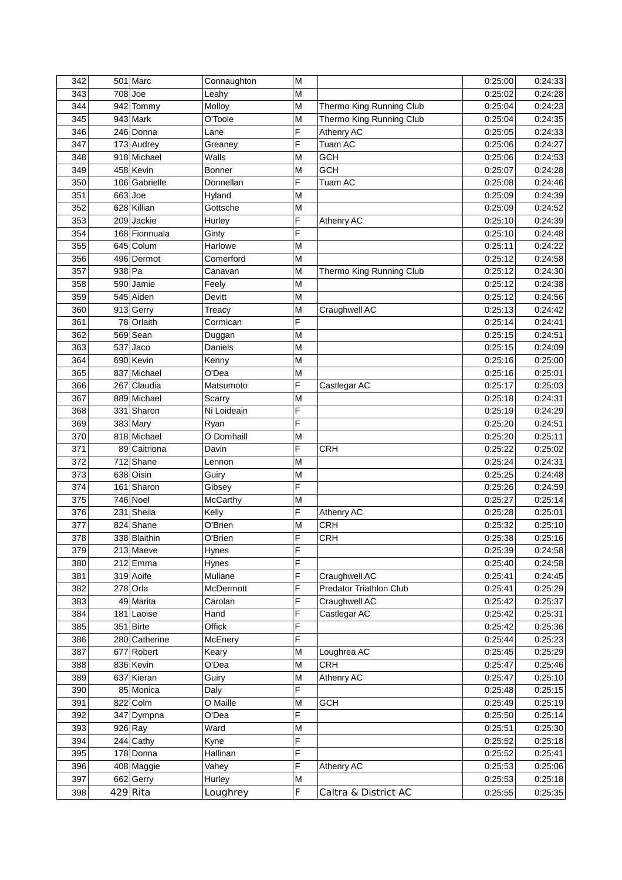| 342 |           | 501 Marc      | Connaughton    | M              |                          | 0:25:00 | 0:24:33 |
|-----|-----------|---------------|----------------|----------------|--------------------------|---------|---------|
| 343 | $708$ Joe |               | Leahy          | M              |                          | 0:25:02 | 0:24:28 |
| 344 |           | 942 Tommy     | Molloy         | M              | Thermo King Running Club | 0:25:04 | 0:24:23 |
| 345 |           | 943 Mark      | O'Toole        | M              | Thermo King Running Club | 0:25:04 | 0:24:35 |
| 346 |           | 246 Donna     | Lane           | F              | Athenry AC               | 0:25:05 | 0:24:33 |
| 347 |           | 173 Audrey    | Greaney        | F              | Tuam AC                  | 0:25:06 | 0:24:27 |
| 348 |           | 918 Michael   | Walls          | M              | <b>GCH</b>               | 0:25:06 | 0:24:53 |
| 349 |           | 458 Kevin     | <b>Bonner</b>  | M              | <b>GCH</b>               | 0:25:07 | 0:24:28 |
| 350 |           | 106 Gabrielle | Donnellan      | F              | Tuam AC                  | 0:25:08 | 0:24:46 |
| 351 | $663$ Joe |               | Hyland         | M              |                          | 0:25:09 | 0:24:39 |
| 352 |           | 628 Killian   | Gottsche       | M              |                          | 0:25:09 | 0:24:52 |
| 353 |           | 209 Jackie    | Hurley         | F              | Athenry AC               | 0:25:10 | 0:24:39 |
| 354 |           | 168 Fionnuala | Ginty          | F              |                          | 0:25:10 | 0:24:48 |
| 355 |           | 645 Colum     | Harlowe        | M              |                          | 0:25:11 | 0:24:22 |
| 356 |           | 496 Dermot    | Comerford      | M              |                          | 0:25:12 | 0:24:58 |
| 357 | 938 Pa    |               | Canavan        | M              | Thermo King Running Club | 0:25:12 | 0:24:30 |
| 358 |           | 590 Jamie     | Feely          | M              |                          | 0:25:12 | 0:24:38 |
| 359 |           | 545 Aiden     | Devitt         | M              |                          | 0:25:12 | 0:24:56 |
| 360 |           | 913 Gerry     | Treacy         | M              | Craughwell AC            | 0:25:13 | 0:24:42 |
| 361 |           | 78 Orlaith    | Cormican       | F              |                          | 0:25:14 | 0:24:41 |
| 362 | 569       | Sean          | Duggan         | M              |                          | 0:25:15 | 0:24:51 |
| 363 |           | $537$ Jaco    | <b>Daniels</b> | M              |                          | 0:25:15 | 0:24:09 |
| 364 |           | 690 Kevin     | Kenny          | M              |                          | 0:25:16 | 0:25:00 |
| 365 |           | 837 Michael   | O'Dea          | M              |                          | 0:25:16 | 0:25:01 |
| 366 |           | 267 Claudia   | Matsumoto      | F              | Castlegar AC             | 0:25:17 | 0:25:03 |
| 367 |           | 889 Michael   | Scarry         | M              |                          | 0:25:18 | 0:24:31 |
| 368 |           | 331 Sharon    | Ni Loideain    | F              |                          | 0:25:19 | 0:24:29 |
| 369 |           | 383 Mary      | Ryan           | F              |                          | 0:25:20 | 0:24:51 |
| 370 |           | 818 Michael   | O Domhaill     | M              |                          | 0:25:20 | 0:25:11 |
| 371 |           | 89 Caitriona  | Davin          | F              | <b>CRH</b>               | 0:25:22 | 0:25:02 |
| 372 |           | 712 Shane     | Lennon         | M              |                          | 0:25:24 | 0:24:31 |
| 373 |           | 638 Oisin     | Guiry          | M              |                          | 0:25:25 | 0:24:48 |
| 374 |           | 161 Sharon    | Gibsey         | F              |                          | 0:25:26 | 0:24:59 |
| 375 |           | 746 Noel      | McCarthy       | M              |                          | 0:25:27 | 0:25:14 |
| 376 |           | 231 Sheila    | Kelly          | F              | Athenry AC               | 0:25:28 | 0:25:01 |
| 377 |           | 824 Shane     | O'Brien        | M              | <b>CRH</b>               | 0:25:32 | 0:25:10 |
| 378 |           | 338 Blaithin  | O'Brien        | F              | <b>CRH</b>               | 0:25:38 | 0:25:16 |
| 379 |           | 213 Maeve     | Hynes          | F              |                          | 0:25:39 | 0:24:58 |
| 380 |           | $212$ Emma    | Hynes          | F              |                          | 0:25:40 | 0:24:58 |
| 381 |           | 319 Aoife     | Mullane        | F              | Craughwell AC            | 0:25:41 | 0:24:45 |
| 382 |           | 278 Orla      | McDermott      | F              | Predator Triathlon Club  | 0:25:41 | 0:25:29 |
| 383 |           | 49 Marita     | Carolan        | F              | Craughwell AC            | 0:25:42 | 0:25:37 |
| 384 |           | 181 Laoise    | Hand           | F              | Castlegar AC             | 0:25:42 | 0:25:31 |
| 385 |           | 351 Birte     | Offick         | F              |                          | 0:25:42 | 0:25:36 |
| 386 |           | 280 Catherine | McEnery        | F              |                          | 0:25:44 | 0:25:23 |
| 387 |           | 677 Robert    | Keary          | M              | Loughrea AC              | 0:25:45 | 0:25:29 |
| 388 |           | 836 Kevin     | O'Dea          | M              | <b>CRH</b>               | 0:25:47 | 0:25:46 |
| 389 |           | 637 Kieran    | Guiry          | M              | Athenry AC               | 0:25:47 | 0:25:10 |
| 390 |           | 85 Monica     | Daly           | F              |                          | 0:25:48 | 0:25:15 |
| 391 |           | 822 Colm      | O Maille       | M              | <b>GCH</b>               | 0:25:49 | 0:25:19 |
| 392 |           | 347 Dympna    | O'Dea          | $\overline{F}$ |                          | 0:25:50 | 0:25:14 |
| 393 |           | $926$ Ray     | Ward           | M              |                          | 0:25:51 | 0:25:30 |
| 394 |           | 244 Cathy     | Kyne           | F              |                          | 0:25:52 | 0:25:18 |
| 395 |           | 178 Donna     | Hallinan       | F              |                          | 0:25:52 | 0:25:41 |
| 396 |           | 408 Maggie    | Vahey          | $\overline{F}$ | Athenry AC               | 0:25:53 | 0:25:06 |
| 397 |           | 662 Gerry     | Hurley         | M              |                          | 0:25:53 | 0:25:18 |
| 398 |           | $429$ Rita    | Loughrey       | F              | Caltra & District AC     | 0:25:55 | 0:25:35 |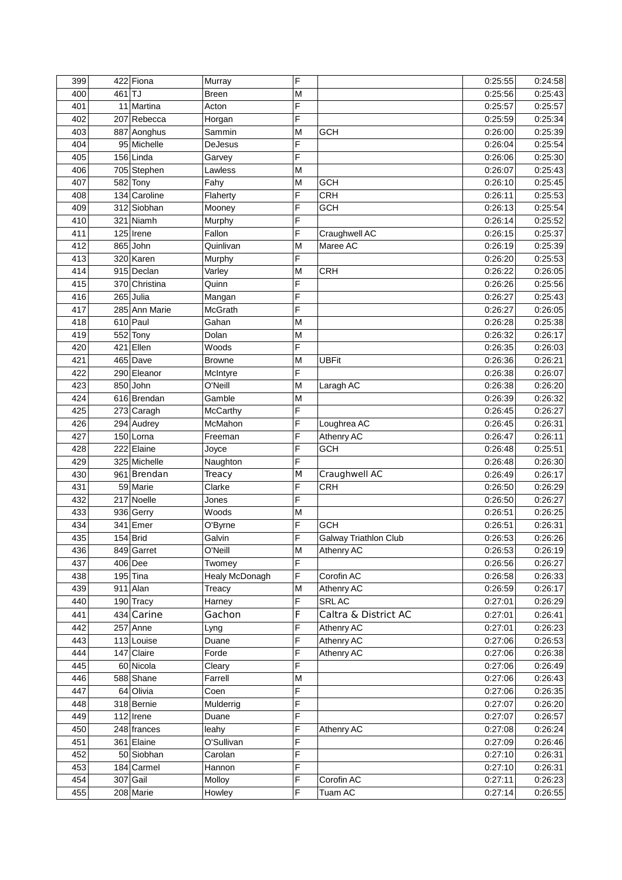| 399 |        | 422 Fiona     | Murray         | F |                              | 0:25:55 | 0:24:58 |
|-----|--------|---------------|----------------|---|------------------------------|---------|---------|
| 400 | 461 TJ |               | <b>Breen</b>   | M |                              | 0:25:56 | 0:25:43 |
| 401 |        | 11 Martina    | Acton          | F |                              | 0:25:57 | 0:25:57 |
| 402 |        | 207 Rebecca   | Horgan         | F |                              | 0:25:59 | 0:25:34 |
| 403 |        | 887 Aonghus   | Sammin         | M | <b>GCH</b>                   | 0:26:00 | 0:25:39 |
| 404 |        | 95 Michelle   | DeJesus        | F |                              | 0:26:04 | 0:25:54 |
| 405 |        | 156 Linda     | Garvey         | F |                              | 0:26:06 | 0:25:30 |
| 406 |        | 705 Stephen   | Lawless        | M |                              | 0:26:07 | 0:25:43 |
| 407 |        | 582 Tony      | Fahy           | M | <b>GCH</b>                   | 0:26:10 | 0:25:45 |
| 408 |        | 134 Caroline  | Flaherty       | F | <b>CRH</b>                   | 0:26:11 | 0:25:53 |
| 409 |        | 312 Siobhan   | Mooney         | F | <b>GCH</b>                   | 0:26:13 | 0:25:54 |
| 410 |        | 321 Niamh     | Murphy         | F |                              | 0:26:14 | 0:25:52 |
| 411 |        | 125 Irene     | Fallon         | F | Craughwell AC                | 0:26:15 | 0:25:37 |
| 412 |        | 865 John      | Quinlivan      | M | Maree AC                     | 0:26:19 | 0:25:39 |
| 413 |        | 320 Karen     | Murphy         | F |                              | 0:26:20 | 0:25:53 |
| 414 |        | 915 Declan    | Varley         | M | <b>CRH</b>                   | 0:26:22 | 0:26:05 |
| 415 |        | 370 Christina | Quinn          | F |                              | 0:26:26 | 0:25:56 |
| 416 |        | 265 Julia     | Mangan         | F |                              | 0:26:27 | 0:25:43 |
| 417 |        | 285 Ann Marie | McGrath        | F |                              | 0:26:27 | 0:26:05 |
| 418 |        | $610$ Paul    | Gahan          | M |                              | 0:26:28 | 0:25:38 |
| 419 |        | 552 Tony      | Dolan          | M |                              | 0:26:32 | 0:26:17 |
|     |        |               |                | F |                              | 0:26:35 |         |
| 420 |        | 421 Ellen     | Woods          |   |                              |         | 0:26:03 |
| 421 |        | 465 Dave      | <b>Browne</b>  | M | <b>UBFit</b>                 | 0:26:36 | 0:26:21 |
| 422 |        | 290 Eleanor   | McIntyre       | F |                              | 0:26:38 | 0:26:07 |
| 423 |        | 850 John      | O'Neill        | M | Laragh AC                    | 0:26:38 | 0:26:20 |
| 424 |        | 616 Brendan   | Gamble         | M |                              | 0:26:39 | 0:26:32 |
| 425 |        | 273 Caragh    | McCarthy       | F |                              | 0:26:45 | 0:26:27 |
| 426 |        | 294 Audrey    | McMahon        | F | Loughrea AC                  | 0:26:45 | 0:26:31 |
| 427 |        | 150 Lorna     | Freeman        | F | Athenry AC                   | 0:26:47 | 0:26:11 |
| 428 |        | 222 Elaine    | Joyce          | F | <b>GCH</b>                   | 0:26:48 | 0:25:51 |
| 429 |        | 325 Michelle  | Naughton       | F |                              | 0:26:48 | 0:26:30 |
| 430 |        | 961 Brendan   | Treacy         | M | Craughwell AC                | 0:26:49 | 0:26:17 |
| 431 |        | 59 Marie      | Clarke         | F | <b>CRH</b>                   | 0:26:50 | 0:26:29 |
| 432 |        | 217 Noelle    | Jones          | F |                              | 0:26:50 | 0:26:27 |
| 433 |        | 936 Gerry     | Woods          | M |                              | 0:26:51 | 0:26:25 |
| 434 |        | 341 Emer      | O'Byrne        | F | <b>GCH</b>                   | 0:26:51 | 0:26:31 |
| 435 |        | $154$ Brid    | Galvin         | F | <b>Galway Triathlon Club</b> | 0:26:53 | 0:26:26 |
| 436 |        | 849 Garret    | O'Neill        | M | Athenry AC                   | 0:26:53 | 0:26:19 |
| 437 |        | 406 Dee       | Twomey         | F |                              | 0:26:56 | 0:26:27 |
| 438 |        | $195$ Tina    | Healy McDonagh | F | Corofin AC                   | 0:26:58 | 0:26:33 |
| 439 |        | 911 Alan      | <b>Treacy</b>  | M | Athenry AC                   | 0:26:59 | 0:26:17 |
| 440 |        | 190 Tracy     | Harney         | F | SRL AC                       | 0:27:01 | 0:26:29 |
| 441 |        | 434 Carine    | Gachon         | F | Caltra & District AC         | 0:27:01 | 0:26:41 |
| 442 |        | 257 Anne      | Lyng           | F | Athenry AC                   | 0:27:01 | 0:26:23 |
| 443 |        | 113 Louise    | Duane          | F | Athenry AC                   | 0:27:06 | 0:26:53 |
| 444 |        | 147 Claire    | Forde          | F | Athenry AC                   | 0:27:06 | 0:26:38 |
| 445 |        | 60 Nicola     | Cleary         | F |                              | 0:27:06 | 0:26:49 |
| 446 |        | 588 Shane     | Farrell        | M |                              | 0:27:06 | 0:26:43 |
| 447 |        | 64 Olivia     | Coen           | F |                              | 0:27:06 | 0:26:35 |
| 448 |        | 318 Bernie    | Mulderrig      | F |                              | 0:27:07 | 0:26:20 |
| 449 |        | 112 Irene     | Duane          | F |                              | 0:27:07 | 0:26:57 |
| 450 |        | 248 frances   | leahy          | F | Athenry AC                   | 0:27:08 | 0:26:24 |
| 451 |        | 361 Elaine    | O'Sullivan     | F |                              | 0:27:09 | 0:26:46 |
| 452 |        | 50 Siobhan    | Carolan        | F |                              | 0:27:10 | 0:26:31 |
| 453 |        | 184 Carmel    | Hannon         | F |                              | 0:27:10 | 0:26:31 |
| 454 |        | 307 Gail      | Molloy         | F | Corofin AC                   | 0:27:11 | 0:26:23 |
| 455 |        | 208 Marie     | Howley         | F | Tuam AC                      | 0:27:14 | 0:26:55 |
|     |        |               |                |   |                              |         |         |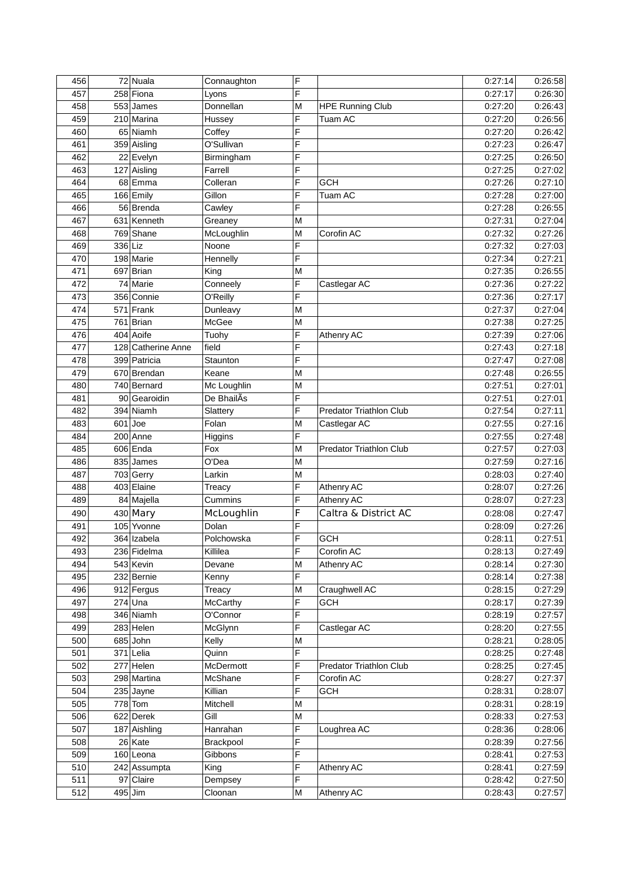| 456 |         | 72 Nuala           | Connaughton      | F |                                | 0:27:14 | 0:26:58 |
|-----|---------|--------------------|------------------|---|--------------------------------|---------|---------|
| 457 |         | 258 Fiona          | Lyons            | F |                                | 0:27:17 | 0:26:30 |
| 458 |         | 553 James          | Donnellan        | M | <b>HPE Running Club</b>        | 0:27:20 | 0:26:43 |
| 459 |         | 210 Marina         | Hussey           | F | <b>Tuam AC</b>                 | 0:27:20 | 0:26:56 |
| 460 |         | 65 Niamh           | Coffey           | F |                                | 0:27:20 | 0:26:42 |
| 461 |         | 359 Aisling        | O'Sullivan       | F |                                | 0:27:23 | 0:26:47 |
| 462 |         | 22 Evelyn          | Birmingham       | F |                                | 0:27:25 | 0:26:50 |
| 463 |         | 127 Aisling        | Farrell          | F |                                | 0:27:25 | 0:27:02 |
| 464 |         | 68 Emma            | Colleran         | F | GCH                            | 0:27:26 | 0:27:10 |
| 465 |         | 166 Emily          | Gillon           | F | Tuam AC                        | 0:27:28 | 0:27:00 |
| 466 |         | 56 Brenda          | Cawley           | F |                                | 0:27:28 | 0:26:55 |
| 467 |         | 631 Kenneth        | Greaney          | M |                                | 0:27:31 | 0:27:04 |
| 468 |         | 769 Shane          | McLoughlin       | M | Corofin AC                     | 0:27:32 | 0:27:26 |
| 469 | 336 Liz |                    | Noone            | F |                                | 0:27:32 | 0:27:03 |
| 470 |         | $198$ Marie        | Hennelly         | F |                                | 0:27:34 | 0:27:21 |
| 471 |         | 697 Brian          |                  | M |                                | 0:27:35 | 0:26:55 |
| 472 |         | 74 Marie           | King<br>Conneely | F | Castlegar AC                   | 0:27:36 | 0:27:22 |
|     |         |                    |                  | Ē |                                |         |         |
| 473 |         | 356 Connie         | O'Reilly         |   |                                | 0:27:36 | 0:27:17 |
| 474 |         | 571 Frank          | Dunleavy         | M |                                | 0:27:37 | 0:27:04 |
| 475 |         | 761 Brian          | McGee            | M |                                | 0:27:38 | 0:27:25 |
| 476 |         | 404 Aoife          | Tuohy            | F | Athenry AC                     | 0:27:39 | 0:27:06 |
| 477 |         | 128 Catherine Anne | field            | F |                                | 0:27:43 | 0:27:18 |
| 478 |         | 399 Patricia       | Staunton         | F |                                | 0:27:47 | 0:27:08 |
| 479 |         | 670 Brendan        | Keane            | M |                                | 0:27:48 | 0:26:55 |
| 480 |         | 740 Bernard        | Mc Loughlin      | M |                                | 0:27:51 | 0:27:01 |
| 481 |         | 90 Gearoidin       | De BhailAs       | F |                                | 0:27:51 | 0:27:01 |
| 482 |         | 394 Niamh          | Slattery         | F | <b>Predator Triathlon Club</b> | 0:27:54 | 0:27:11 |
| 483 |         | $601$ Joe          | Folan            | M | Castlegar AC                   | 0:27:55 | 0:27:16 |
| 484 |         | 200 Anne           | Higgins          | F |                                | 0:27:55 | 0:27:48 |
| 485 |         | 606 Enda           | Fox              | M | Predator Triathlon Club        | 0:27:57 | 0:27:03 |
| 486 |         | 835 James          | O'Dea            | M |                                | 0:27:59 | 0:27:16 |
| 487 |         | 703 Gerry          | Larkin           | M |                                | 0:28:03 | 0:27:40 |
| 488 |         | 403 Elaine         | Treacy           | F | Athenry AC                     | 0:28:07 | 0:27:26 |
| 489 |         | 84 Majella         | Cummins          | F | Athenry AC                     | 0:28:07 | 0:27:23 |
| 490 |         | $430$ Mary         | McLoughlin       | F | Caltra & District AC           | 0:28:08 | 0:27:47 |
| 491 |         | 105 Yvonne         | Dolan            | F |                                | 0:28:09 | 0:27:26 |
| 492 |         | 364 Izabela        | Polchowska       | F | GCH                            | 0:28:11 | 0:27:51 |
| 493 |         | 236 Fidelma        | Killilea         | F | Corofin AC                     | 0:28:13 | 0:27:49 |
| 494 |         | 543 Kevin          | Devane           | M | Athenry AC                     | 0:28:14 | 0:27:30 |
| 495 |         | 232 Bernie         | Kenny            | F |                                | 0:28:14 | 0:27:38 |
| 496 |         | 912 Fergus         | Treacy           | M | Craughwell AC                  | 0:28:15 | 0:27:29 |
| 497 |         | $274$ Una          | McCarthy         | F | <b>GCH</b>                     | 0:28:17 | 0:27:39 |
| 498 |         | 346 Niamh          | O'Connor         | F |                                | 0:28:19 | 0:27:57 |
| 499 |         | $283$ Helen        | McGlynn          | F | Castlegar AC                   | 0:28:20 | 0:27:55 |
| 500 |         | 685 John           | Kelly            | M |                                | 0:28:21 | 0:28:05 |
| 501 |         | $371$ Lelia        | Quinn            | F |                                | 0:28:25 | 0:27:48 |
| 502 |         | 277 Helen          | McDermott        | F | <b>Predator Triathlon Club</b> | 0:28:25 | 0:27:45 |
| 503 |         | 298 Martina        | McShane          | F | Corofin AC                     | 0:28:27 | 0:27:37 |
| 504 |         | 235 Jayne          | Killian          | F | <b>GCH</b>                     | 0:28:31 | 0:28:07 |
| 505 |         | $778$ Tom          | Mitchell         | M |                                | 0:28:31 | 0:28:19 |
| 506 |         | 622 Derek          | Gill             | M |                                | 0:28:33 | 0:27:53 |
| 507 |         | 187 Aishling       | Hanrahan         | F | Loughrea AC                    | 0:28:36 | 0:28:06 |
|     |         | 26 Kate            |                  | F |                                |         | 0:27:56 |
| 508 |         |                    | Brackpool        | F |                                | 0:28:39 |         |
| 509 |         | 160 Leona          | Gibbons          | F |                                | 0:28:41 | 0:27:53 |
| 510 |         | 242 Assumpta       | King             |   | Athenry AC                     | 0:28:41 | 0:27:59 |
| 511 |         | 97 Claire          | Dempsey          | F |                                | 0:28:42 | 0:27:50 |
| 512 | 495 Jim |                    | Cloonan          | M | Athenry AC                     | 0:28:43 | 0:27:57 |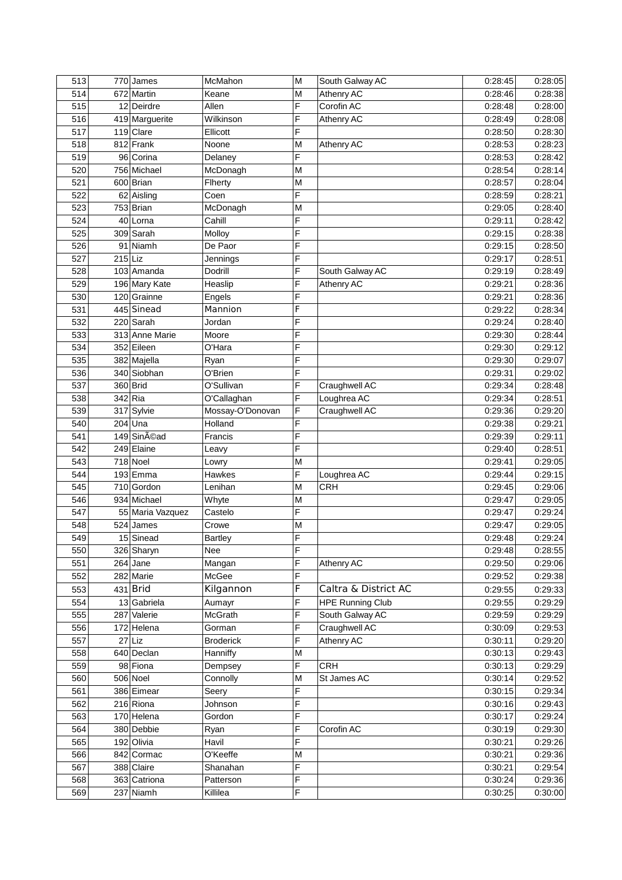| 513 |           | 770 James        | McMahon                     | M              | South Galway AC         | 0:28:45 | 0:28:05 |
|-----|-----------|------------------|-----------------------------|----------------|-------------------------|---------|---------|
| 514 |           | 672 Martin       | Keane                       | M              | Athenry AC              | 0:28:46 | 0:28:38 |
| 515 |           | 12 Deirdre       | Allen                       | F              | Corofin AC              | 0:28:48 | 0:28:00 |
| 516 |           | 419 Marguerite   | Wilkinson                   | F              | Athenry AC              | 0:28:49 | 0:28:08 |
| 517 |           | $119$ Clare      | Ellicott                    | F              |                         | 0:28:50 | 0:28:30 |
| 518 |           | 812 Frank        | Noone                       | M              | Athenry AC              | 0:28:53 | 0:28:23 |
| 519 |           | 96 Corina        | Delaney                     | F              |                         | 0:28:53 | 0:28:42 |
| 520 |           | 756 Michael      | McDonagh                    | M              |                         | 0:28:54 | 0:28:14 |
| 521 |           | 600 Brian        | Flherty                     | M              |                         | 0:28:57 | 0:28:04 |
| 522 |           | 62 Aisling       | Coen                        | F              |                         | 0:28:59 | 0:28:21 |
| 523 |           | 753 Brian        | McDonagh                    | M              |                         | 0:29:05 | 0:28:40 |
| 524 |           | 40 Lorna         | Cahill                      | F              |                         | 0:29:11 | 0:28:42 |
| 525 |           | 309 Sarah        | Molloy                      | F              |                         | 0:29:15 | 0:28:38 |
| 526 |           | 91 Niamh         | De Paor                     | F              |                         | 0:29:15 | 0:28:50 |
| 527 | $215$ Liz |                  | Jennings                    | F              |                         | 0:29:17 | 0:28:51 |
| 528 |           | 103 Amanda       | Dodrill                     | F              | South Galway AC         | 0:29:19 | 0:28:49 |
| 529 |           | 196 Mary Kate    | Heaslip                     | F              | Athenry AC              | 0:29:21 | 0:28:36 |
| 530 |           | 120 Grainne      | Engels                      | F              |                         | 0:29:21 | 0:28:36 |
| 531 |           | 445 Sinead       | Mannion                     | F              |                         | 0:29:22 | 0:28:34 |
| 532 |           | 220 Sarah        | Jordan                      | F              |                         | 0:29:24 | 0:28:40 |
| 533 |           | 313 Anne Marie   | Moore                       | F              |                         | 0:29:30 | 0:28:44 |
| 534 |           | 352 Eileen       | O'Hara                      | F              |                         | 0:29:30 | 0:29:12 |
| 535 |           | 382 Majella      | Ryan                        | F              |                         | 0:29:30 | 0:29:07 |
| 536 |           | 340 Siobhan      | O'Brien                     | F              |                         | 0:29:31 | 0:29:02 |
| 537 |           | 360 Brid         | O'Sullivan                  | F              | Craughwell AC           | 0:29:34 | 0:28:48 |
| 538 | 342 Ria   |                  |                             | F              | Loughrea AC             |         | 0:28:51 |
| 539 |           | 317 Sylvie       | O'Callaghan                 | F              |                         | 0:29:34 | 0:29:20 |
| 540 |           | $204$ Una        | Mossay-O'Donovan<br>Holland | F              | Craughwell AC           | 0:29:36 | 0:29:21 |
| 541 |           | 149 Sinéad       | Francis                     | F              |                         | 0:29:38 | 0:29:11 |
|     |           |                  |                             | F              |                         | 0:29:39 |         |
| 542 |           | 249 Elaine       | Leavy                       |                |                         | 0:29:40 | 0:28:51 |
| 543 |           | 718 Noel         | Lowry                       | M<br>F         |                         | 0:29:41 | 0:29:05 |
| 544 |           | 193 Emma         | Hawkes                      |                | Loughrea AC             | 0:29:44 | 0:29:15 |
| 545 |           | 710 Gordon       | Lenihan                     | M              | <b>CRH</b>              | 0:29:45 | 0:29:06 |
| 546 |           | 934 Michael      | Whyte                       | M              |                         | 0:29:47 | 0:29:05 |
| 547 |           | 55 Maria Vazquez | Castelo                     | F              |                         | 0:29:47 | 0:29:24 |
| 548 | 524       | James            | Crowe                       | M              |                         | 0:29:47 | 0:29:05 |
| 549 |           | 15 Sinead        | <b>Bartley</b>              | F              |                         | 0:29:48 | 0:29:24 |
| 550 |           | 326 Sharyn       | Nee                         | F              |                         | 0:29:48 | 0:28:55 |
| 551 |           | $264$ Jane       | Mangan                      | F              | Athenry AC              | 0:29:50 | 0:29:06 |
| 552 |           | 282 Marie        | McGee                       | F              |                         | 0:29:52 | 0:29:38 |
| 553 |           | $431$ Brid       | Kilgannon                   | F              | Caltra & District AC    | 0:29:55 | 0:29:33 |
| 554 |           | 13 Gabriela      | Aumayr                      | F              | <b>HPE Running Club</b> | 0:29:55 | 0:29:29 |
| 555 |           | 287 Valerie      | McGrath                     | F              | South Galway AC         | 0:29:59 | 0:29:29 |
| 556 |           | 172 Helena       | Gorman                      | F              | Craughwell AC           | 0:30:09 | 0:29:53 |
| 557 |           | $27$ Liz         | <b>Broderick</b>            | F              | Athenry AC              | 0:30:11 | 0:29:20 |
| 558 |           | 640 Declan       | Hanniffy                    | M              |                         | 0:30:13 | 0:29:43 |
| 559 |           | 98 Fiona         | Dempsey                     | $\overline{F}$ | <b>CRH</b>              | 0:30:13 | 0:29:29 |
| 560 |           | 506 Noel         | Connolly                    | M              | St James AC             | 0:30:14 | 0:29:52 |
| 561 |           | 386 Eimear       | Seery                       | F              |                         | 0:30:15 | 0:29:34 |
| 562 |           | 216 Riona        | Johnson                     | F              |                         | 0:30:16 | 0:29:43 |
| 563 |           | 170 Helena       | Gordon                      | F              |                         | 0:30:17 | 0:29:24 |
| 564 |           | 380 Debbie       | Ryan                        | F              | Corofin AC              | 0:30:19 | 0:29:30 |
| 565 |           | 192 Olivia       | Havil                       | F              |                         | 0:30:21 | 0:29:26 |
| 566 |           | 842 Cormac       | O'Keeffe                    | M              |                         | 0:30:21 | 0:29:36 |
| 567 |           | 388 Claire       | Shanahan                    | F              |                         | 0:30:21 | 0:29:54 |
| 568 |           | 363 Catriona     | Patterson                   | F              |                         | 0:30:24 | 0:29:36 |
| 569 |           | 237 Niamh        | Killilea                    | F              |                         | 0:30:25 | 0:30:00 |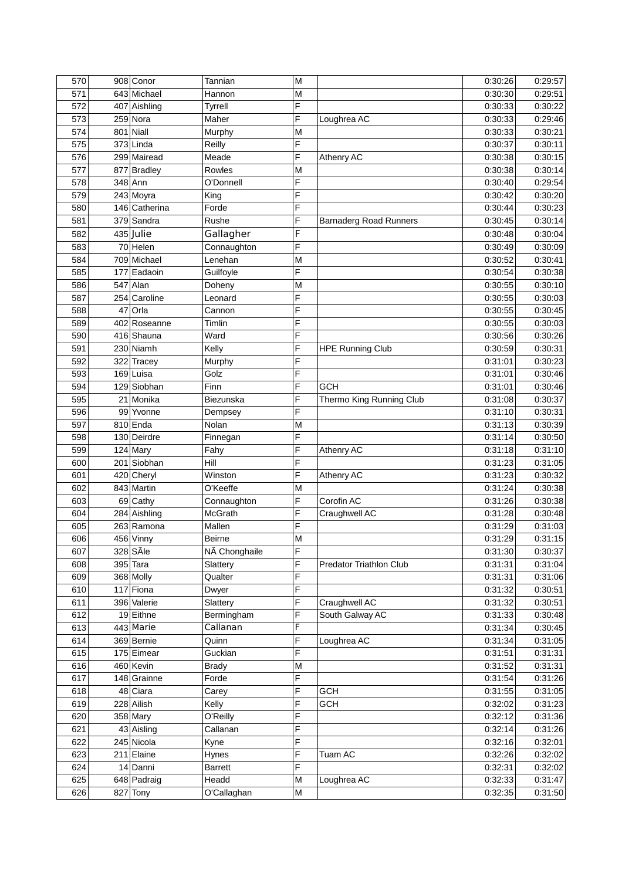| 570 | 908 Conor                  | <b>Tannian</b>         | M              |                                | 0:30:26            | 0:29:57 |
|-----|----------------------------|------------------------|----------------|--------------------------------|--------------------|---------|
| 571 | 643 Michael                | Hannon                 | M              |                                | 0:30:30            | 0:29:51 |
| 572 | 407 Aishling               | Tyrrell                | F              |                                | 0:30:33            | 0:30:22 |
| 573 | 259 Nora                   | Maher                  | F              | Loughrea AC                    | 0:30:33            | 0:29:46 |
| 574 | 801 Niall                  | Murphy                 | M              |                                | 0:30:33            | 0:30:21 |
| 575 | 373 Linda                  | Reilly                 | F              |                                | 0:30:37            | 0:30:11 |
| 576 | 299 Mairead                | Meade                  | $\overline{F}$ | Athenry AC                     | 0:30:38            | 0:30:15 |
| 577 | 877 Bradley                | Rowles                 | M              |                                | 0:30:38            | 0:30:14 |
| 578 | 348 Ann                    | O'Donnell              | F              |                                | 0:30:40            | 0:29:54 |
| 579 | 243 Moyra                  | King                   | F              |                                | 0:30:42            | 0:30:20 |
| 580 | 146 Catherina              | Forde                  | F              |                                | 0:30:44            | 0:30:23 |
| 581 | 379 Sandra                 | Rushe                  | F              | <b>Barnaderg Road Runners</b>  | 0:30:45            | 0:30:14 |
| 582 | $435$ Julie                | Gallagher              | F              |                                | 0:30:48            | 0:30:04 |
| 583 | 70 Helen                   | Connaughton            | F              |                                | 0:30:49            | 0:30:09 |
| 584 | 709 Michael                | Lenehan                | M              |                                | 0:30:52            | 0:30:41 |
| 585 | 177 Eadaoin                | Guilfoyle              | F              |                                | 0:30:54            | 0:30:38 |
| 586 | 547 Alan                   | Doheny                 | M              |                                | 0:30:55            | 0:30:10 |
| 587 | 254 Caroline               | Leonard                | F              |                                | 0:30:55            | 0:30:03 |
| 588 | 47 Orla                    | Cannon                 | F              |                                | 0:30:55            | 0:30:45 |
| 589 | 402 Roseanne               | Timlin                 | F              |                                | 0:30:55            | 0:30:03 |
| 590 | 416 Shauna                 | Ward                   | F              |                                | 0:30:56            | 0:30:26 |
| 591 | 230 Niamh                  | Kelly                  | F              | <b>HPE Running Club</b>        | 0:30:59            | 0:30:31 |
| 592 | 322 Tracey                 | Murphy                 | F              |                                | 0:31:01            | 0:30:23 |
| 593 | 169 Luisa                  | Golz                   | F              |                                | 0:31:01            | 0:30:46 |
| 594 | 129 Siobhan                | Finn                   | F              | GCH                            | 0:31:01            | 0:30:46 |
| 595 | 21 Monika                  | Biezunska              | F              | Thermo King Running Club       | 0:31:08            | 0:30:37 |
| 596 | 99 Yvonne                  | Dempsey                | F              |                                | 0:31:10            | 0:30:31 |
| 597 | 810 Enda                   | Nolan                  | M              |                                | 0:31:13            | 0:30:39 |
| 598 | 130 Deirdre                | Finnegan               | F              |                                | 0:31:14            | 0:30:50 |
| 599 | 124 Mary                   | Fahy                   | F              | Athenry AC                     | 0:31:18            | 0:31:10 |
| 600 | 201 Siobhan                | Hill                   | F              |                                | 0:31:23            | 0:31:05 |
| 601 | 420 Cheryl                 | Winston                | F              |                                | 0:31:23            | 0:30:32 |
| 602 | $\overline{843}$ Martin    | O'Keeffe               | M              | Athenry AC                     |                    | 0:30:38 |
| 603 | 69 Cathy                   |                        | F              | Corofin AC                     | 0:31:24            | 0:30:38 |
| 604 |                            | Connaughton<br>McGrath | F              |                                | 0:31:26<br>0:31:28 | 0:30:48 |
| 605 | 284 Aishling<br>263 Ramona |                        | F              | Craughwell AC                  | 0:31:29            | 0:31:03 |
| 606 | 456 Vinny                  | Mallen                 | M              |                                |                    | 0:31:15 |
|     | 328 SÃIe                   | <b>Beirne</b>          |                |                                | 0:31:29            |         |
| 607 |                            | NÃ Chonghaile          | F<br>F         |                                | 0:31:30            | 0:30:37 |
| 608 | 395 Tara                   | Slattery               |                | <b>Predator Triathlon Club</b> | 0:31:31            | 0:31:04 |
| 609 | 368 Molly                  | Qualter                | F<br>F         |                                | 0:31:31            | 0:31:06 |
| 610 | 117 Fiona                  | Dwyer                  | F              |                                | 0:31:32            | 0:30:51 |
| 611 | 396 Valerie                | Slattery               |                | Craughwell AC                  | 0:31:32            | 0:30:51 |
| 612 | 19 Eithne                  | Bermingham             | F<br>F         | South Galway AC                | 0:31:33            | 0:30:48 |
| 613 | 443 Marie                  | Callanan               |                |                                | 0:31:34            | 0:30:45 |
| 614 | 369 Bernie                 | Quinn                  | F              | Loughrea AC                    | 0:31:34            | 0:31:05 |
| 615 | 175 Eimear                 | Guckian                | F              |                                | 0:31:51            | 0:31:31 |
| 616 | 460 Kevin                  | <b>Brady</b>           | ${\sf M}$      |                                | 0:31:52            | 0:31:31 |
| 617 | 148 Grainne                | Forde                  | F              |                                | 0:31:54            | 0:31:26 |
| 618 | 48 Ciara                   | Carey                  | F              | <b>GCH</b>                     | 0:31:55            | 0:31:05 |
| 619 | 228 Ailish                 | Kelly                  | F              | <b>GCH</b>                     | 0:32:02            | 0:31:23 |
| 620 | 358 Mary                   | O'Reilly               | F              |                                | 0:32:12            | 0:31:36 |
| 621 | 43 Aisling                 | Callanan               | F              |                                | 0:32:14            | 0:31:26 |
| 622 | 245 Nicola                 | Kyne                   | F              |                                | 0:32:16            | 0:32:01 |
| 623 | 211 Elaine                 | Hynes                  | F              | Tuam AC                        | 0:32:26            | 0:32:02 |
| 624 | 14 Danni                   | <b>Barrett</b>         | F              |                                | 0:32:31            | 0:32:02 |
| 625 | 648 Padraig                | Headd                  | M              | Loughrea AC                    | 0:32:33            | 0:31:47 |
| 626 | 827 Tony                   | O'Callaghan            | M              |                                | 0:32:35            | 0:31:50 |